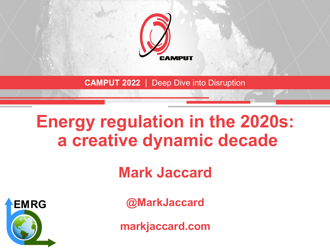

**CAMPUT 2022** | Deep Dive into Disruption

## **Energy regulation in the 2020s: a creative dynamic decade**

**Mark Jaccard**



**@MarkJaccard**

**markjaccard.com**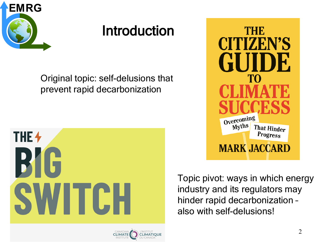

## Introduction

Original topic: self-delusions that prevent rapid decarbonization





Topic pivot: ways in which energy industry and its regulators may hinder rapid decarbonization – also with self-delusions!

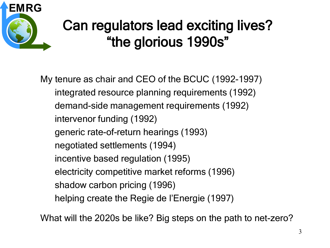

## Can regulators lead exciting lives? "the glorious 1990s"

My tenure as chair and CEO of the BCUC (1992-1997) integrated resource planning requirements (1992) demand-side management requirements (1992) intervenor funding (1992) generic rate-of-return hearings (1993) negotiated settlements (1994) incentive based regulation (1995) electricity competitive market reforms (1996) shadow carbon pricing (1996) helping create the Regie de l'Energie (1997)

What will the 2020s be like? Big steps on the path to net-zero?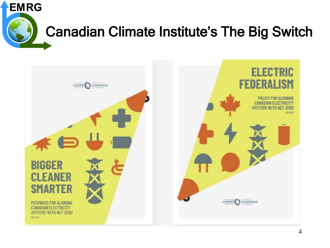

## Canadian Climate Institute's The Big Switch

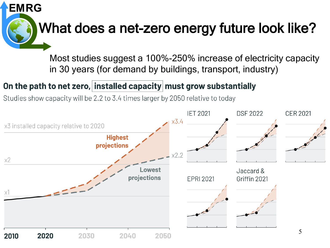

Most studies suggest a 100%-250% increase of electricity capacity in 30 years (for demand by buildings, transport, industry)

#### On the path to net zero, installed capacity must grow substantially

Studies show capacity will be 2.2 to 3.4 times larger by 2050 relative to today

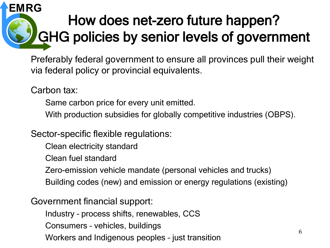#### How does net-zero future happen? GHG policies by senior levels of government **EMRG**

Preferably federal government to ensure all provinces pull their weight via federal policy or provincial equivalents.

Carbon tax:

Same carbon price for every unit emitted.

With production subsidies for globally competitive industries (OBPS).

Sector-specific flexible regulations:

Clean electricity standard

Clean fuel standard

Zero-emission vehicle mandate (personal vehicles and trucks)

Building codes (new) and emission or energy regulations (existing)

Government financial support:

Industry – process shifts, renewables, CCS

Consumers – vehicles, buildings

Workers and Indigenous peoples – just transition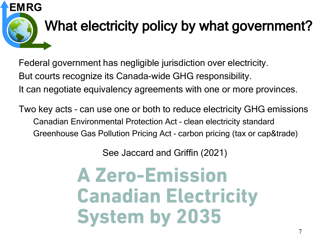

Federal government has negligible jurisdiction over electricity. But courts recognize its Canada-wide GHG responsibility. It can negotiate equivalency agreements with one or more provinces.

Two key acts – can use one or both to reduce electricity GHG emissions Canadian Environmental Protection Act – clean electricity standard Greenhouse Gas Pollution Pricing Act – carbon pricing (tax or cap&trade)

See Jaccard and Griffin (2021)

# **A Zero-Emission Canadian Electricity System by 2035**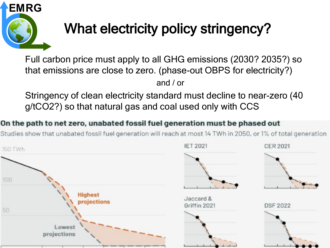

## What electricity policy stringency?

Full carbon price must apply to all GHG emissions (2030? 2035?) so that emissions are close to zero. (phase-out OBPS for electricity?) and / or

Stringency of clean electricity standard must decline to near-zero (40 g/tCO2?) so that natural gas and coal used only with CCS

#### On the path to net zero, unabated fossil fuel generation must be phased out

Studies show that unabated fossil fuel generation will reach at most 14 TWh in 2050, or 1% of total generation

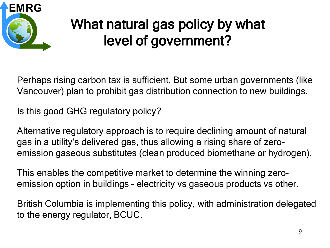

## What natural gas policy by what level of government?

Perhaps rising carbon tax is sufficient. But some urban governments (like Vancouver) plan to prohibit gas distribution connection to new buildings.

Is this good GHG regulatory policy?

Alternative regulatory approach is to require declining amount of natural gas in a utility's delivered gas, thus allowing a rising share of zeroemission gaseous substitutes (clean produced biomethane or hydrogen).

This enables the competitive market to determine the winning zeroemission option in buildings – electricity vs gaseous products vs other.

British Columbia is implementing this policy, with administration delegated to the energy regulator, BCUC.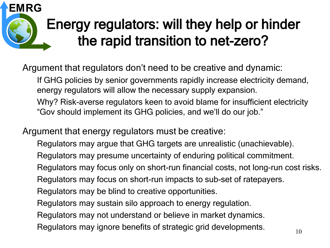### Energy regulators: will they help or hinder the rapid transition to net-zero? **EMRG**

Argument that regulators don't need to be creative and dynamic:

If GHG policies by senior governments rapidly increase electricity demand, energy regulators will allow the necessary supply expansion. Why? Risk-averse regulators keen to avoid blame for insufficient electricity "Gov should implement its GHG policies, and we'll do our job."

Argument that energy regulators must be creative:

Regulators may argue that GHG targets are unrealistic (unachievable).

Regulators may presume uncertainty of enduring political commitment.

Regulators may focus only on short-run financial costs, not long-run cost risks.

Regulators may focus on short-run impacts to sub-set of ratepayers.

Regulators may be blind to creative opportunities.

Regulators may sustain silo approach to energy regulation.

Regulators may not understand or believe in market dynamics.

Regulators may ignore benefits of strategic grid developments.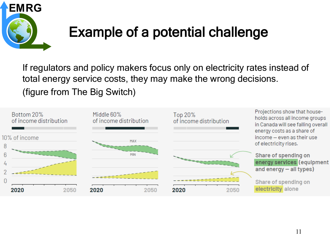

## Example of a potential challenge

If regulators and policy makers focus only on electricity rates instead of total energy service costs, they may make the wrong decisions. (figure from The Big Switch)

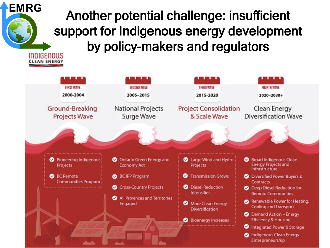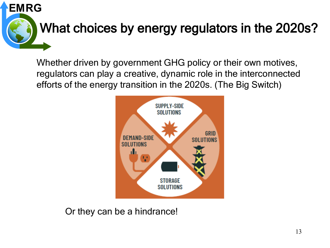

Whether driven by government GHG policy or their own motives, regulators can play a creative, dynamic role in the interconnected efforts of the energy transition in the 2020s. (The Big Switch)



Or they can be a hindrance!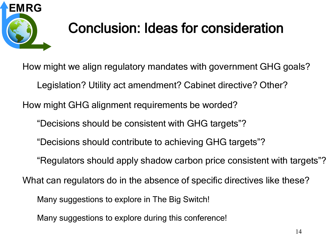

## Conclusion: Ideas for consideration

How might we align regulatory mandates with government GHG goals? Legislation? Utility act amendment? Cabinet directive? Other? How might GHG alignment requirements be worded? "Decisions should be consistent with GHG targets"? "Decisions should contribute to achieving GHG targets"? "Regulators should apply shadow carbon price consistent with targets"? What can regulators do in the absence of specific directives like these? Many suggestions to explore in The Big Switch! Many suggestions to explore during this conference!